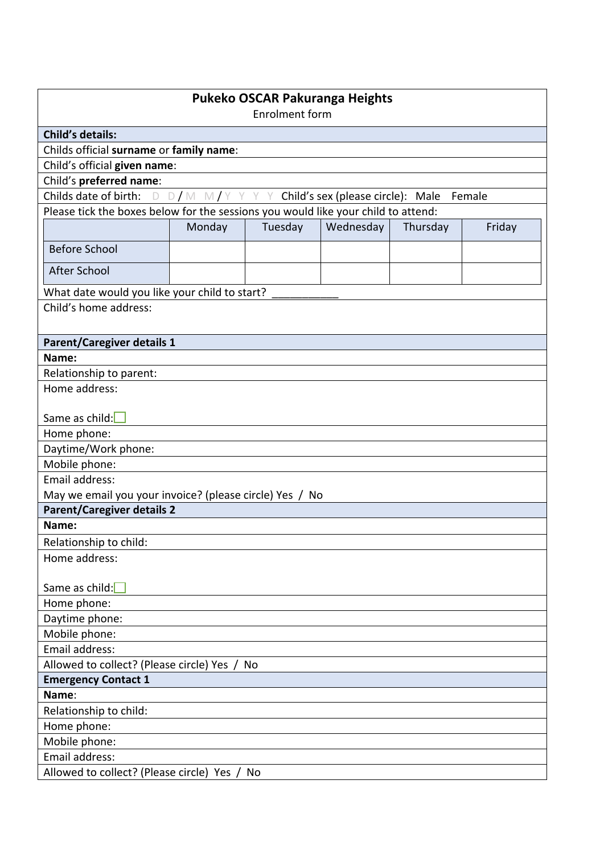| Pukeko OSCAR Pakuranga Heights<br><b>Enrolment form</b>                                    |        |         |           |          |        |
|--------------------------------------------------------------------------------------------|--------|---------|-----------|----------|--------|
| <b>Child's details:</b>                                                                    |        |         |           |          |        |
| Childs official surname or family name:                                                    |        |         |           |          |        |
| Child's official given name:                                                               |        |         |           |          |        |
| Child's preferred name:                                                                    |        |         |           |          |        |
| Childs date of birth:<br>$D/M$ M/Y<br>Y Y Child's sex (please circle): Male<br>D<br>Female |        |         |           |          |        |
| Please tick the boxes below for the sessions you would like your child to attend:          |        |         |           |          |        |
|                                                                                            | Monday | Tuesday | Wednesday | Thursday | Friday |
| <b>Before School</b>                                                                       |        |         |           |          |        |
| <b>After School</b>                                                                        |        |         |           |          |        |
|                                                                                            |        |         |           |          |        |
| What date would you like your child to start?<br>Child's home address:                     |        |         |           |          |        |
|                                                                                            |        |         |           |          |        |
|                                                                                            |        |         |           |          |        |
| <b>Parent/Caregiver details 1</b>                                                          |        |         |           |          |        |
| Name:                                                                                      |        |         |           |          |        |
| Relationship to parent:<br>Home address:                                                   |        |         |           |          |        |
|                                                                                            |        |         |           |          |        |
| Same as child:                                                                             |        |         |           |          |        |
| Home phone:                                                                                |        |         |           |          |        |
| Daytime/Work phone:                                                                        |        |         |           |          |        |
| Mobile phone:                                                                              |        |         |           |          |        |
| Email address:                                                                             |        |         |           |          |        |
| May we email you your invoice? (please circle) Yes / No                                    |        |         |           |          |        |
| <b>Parent/Caregiver details 2</b>                                                          |        |         |           |          |        |
| Name:                                                                                      |        |         |           |          |        |
| Relationship to child:                                                                     |        |         |           |          |        |
| Home address:                                                                              |        |         |           |          |        |
| Same as child:                                                                             |        |         |           |          |        |
| Home phone:                                                                                |        |         |           |          |        |
| Daytime phone:                                                                             |        |         |           |          |        |
| Mobile phone:                                                                              |        |         |           |          |        |
| Email address:                                                                             |        |         |           |          |        |
| Allowed to collect? (Please circle) Yes /<br>No                                            |        |         |           |          |        |
| <b>Emergency Contact 1</b>                                                                 |        |         |           |          |        |
| Name:                                                                                      |        |         |           |          |        |
| Relationship to child:                                                                     |        |         |           |          |        |
| Home phone:                                                                                |        |         |           |          |        |
| Mobile phone:                                                                              |        |         |           |          |        |
| Email address:                                                                             |        |         |           |          |        |
| Allowed to collect? (Please circle) Yes /<br>No                                            |        |         |           |          |        |